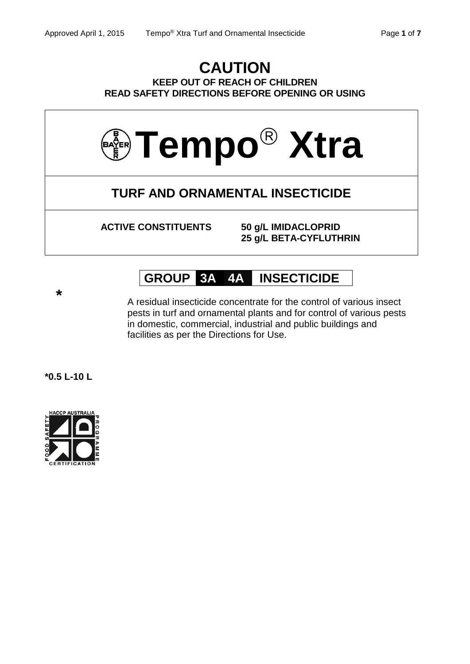## **CAUTION KEEP OUT OF REACH OF CHILDREN READ SAFETY DIRECTIONS BEFORE OPENING OR USING**



**ACTIVE CONSTITUENTS 50 g/L IMIDACLOPRID**

**25 g/L BETA-CYFLUTHRIN**

# **GROUP 3A 4A INSECTICIDE**

**\***

A residual insecticide concentrate for the control of various insect pests in turf and ornamental plants and for control of various pests in domestic, commercial, industrial and public buildings and facilities as per the Directions for Use.

**\*0.5 L-10 L**

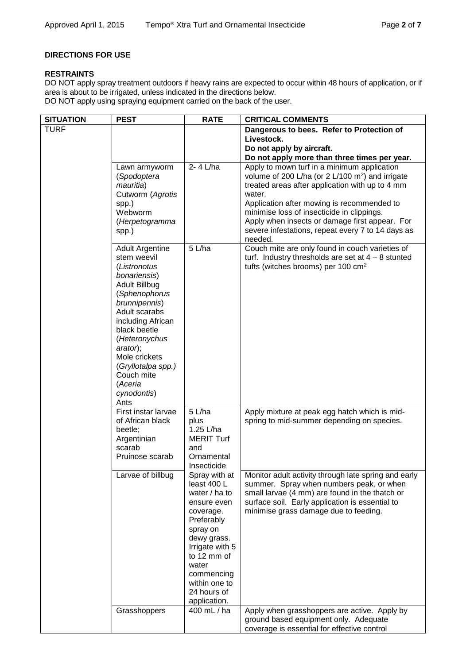## **DIRECTIONS FOR USE**

## **RESTRAINTS**

DO NOT apply spray treatment outdoors if heavy rains are expected to occur within 48 hours of application, or if area is about to be irrigated, unless indicated in the directions below.

DO NOT apply using spraying equipment carried on the back of the user.

| <b>SITUATION</b> | <b>PEST</b>                                                                                                                                                                                                                                                                                               | <b>RATE</b>                                                                                                                                                                                                                                                                                                         | <b>CRITICAL COMMENTS</b>                                                                                                                                                                                                                                                                                                                                                               |
|------------------|-----------------------------------------------------------------------------------------------------------------------------------------------------------------------------------------------------------------------------------------------------------------------------------------------------------|---------------------------------------------------------------------------------------------------------------------------------------------------------------------------------------------------------------------------------------------------------------------------------------------------------------------|----------------------------------------------------------------------------------------------------------------------------------------------------------------------------------------------------------------------------------------------------------------------------------------------------------------------------------------------------------------------------------------|
| <b>TURF</b>      |                                                                                                                                                                                                                                                                                                           |                                                                                                                                                                                                                                                                                                                     | Dangerous to bees. Refer to Protection of                                                                                                                                                                                                                                                                                                                                              |
|                  |                                                                                                                                                                                                                                                                                                           |                                                                                                                                                                                                                                                                                                                     | Livestock.                                                                                                                                                                                                                                                                                                                                                                             |
|                  |                                                                                                                                                                                                                                                                                                           |                                                                                                                                                                                                                                                                                                                     | Do not apply by aircraft.                                                                                                                                                                                                                                                                                                                                                              |
|                  |                                                                                                                                                                                                                                                                                                           |                                                                                                                                                                                                                                                                                                                     | Do not apply more than three times per year.                                                                                                                                                                                                                                                                                                                                           |
|                  | Lawn armyworm<br>(Spodoptera<br>mauritia)<br>Cutworm (Agrotis<br>spp.)<br>Webworm<br>(Herpetogramma<br>spp.)                                                                                                                                                                                              | 2-4 L/ha                                                                                                                                                                                                                                                                                                            | Apply to mown turf in a minimum application<br>volume of 200 L/ha (or 2 L/100 m <sup>2</sup> ) and irrigate<br>treated areas after application with up to 4 mm<br>water.<br>Application after mowing is recommended to<br>minimise loss of insecticide in clippings.<br>Apply when insects or damage first appear. For<br>severe infestations, repeat every 7 to 14 days as<br>needed. |
|                  | <b>Adult Argentine</b><br>stem weevil<br>(Listronotus<br>bonariensis)<br><b>Adult Billbug</b><br>(Sphenophorus<br>brunnipennis)<br>Adult scarabs<br>including African<br>black beetle<br>(Heteronychus<br>arator);<br>Mole crickets<br>(Gryllotalpa spp.)<br>Couch mite<br>(Aceria<br>cynodontis)<br>Ants | 5 L/ha                                                                                                                                                                                                                                                                                                              | Couch mite are only found in couch varieties of<br>turf. Industry thresholds are set at $4 - 8$ stunted<br>tufts (witches brooms) per 100 cm <sup>2</sup>                                                                                                                                                                                                                              |
|                  | First instar larvae<br>of African black<br>beetle;<br>Argentinian<br>scarab<br>Pruinose scarab                                                                                                                                                                                                            | 5 L/ha<br>plus<br>1.25 L/ha<br><b>MERIT Turf</b><br>and<br>Ornamental<br>Insecticide<br>Spray with at<br>least 400 L<br>water / ha to<br>ensure even<br>coverage.<br>Preferably<br>spray on<br>dewy grass.<br>Irrigate with 5<br>to 12 mm of<br>water<br>commencing<br>within one to<br>24 hours of<br>application. | Apply mixture at peak egg hatch which is mid-<br>spring to mid-summer depending on species.                                                                                                                                                                                                                                                                                            |
|                  | Larvae of billbug                                                                                                                                                                                                                                                                                         |                                                                                                                                                                                                                                                                                                                     | Monitor adult activity through late spring and early<br>summer. Spray when numbers peak, or when<br>small larvae (4 mm) are found in the thatch or<br>surface soil. Early application is essential to<br>minimise grass damage due to feeding.                                                                                                                                         |
|                  | Grasshoppers                                                                                                                                                                                                                                                                                              | 400 mL / ha                                                                                                                                                                                                                                                                                                         | Apply when grasshoppers are active. Apply by<br>ground based equipment only. Adequate<br>coverage is essential for effective control                                                                                                                                                                                                                                                   |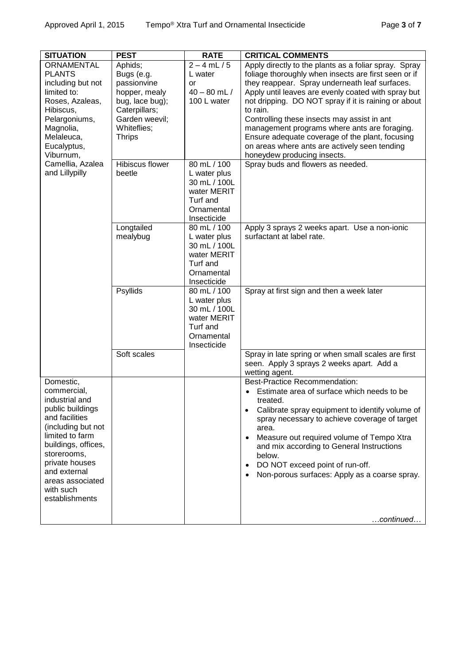| <b>SITUATION</b>                                                                                                                                                                                                                                     | <b>PEST</b>                                                                                                                                 | <b>RATE</b>                                                                                         | <b>CRITICAL COMMENTS</b>                                                                                                                                                                                                                                                                                                                                                                                                                                                                                                     |
|------------------------------------------------------------------------------------------------------------------------------------------------------------------------------------------------------------------------------------------------------|---------------------------------------------------------------------------------------------------------------------------------------------|-----------------------------------------------------------------------------------------------------|------------------------------------------------------------------------------------------------------------------------------------------------------------------------------------------------------------------------------------------------------------------------------------------------------------------------------------------------------------------------------------------------------------------------------------------------------------------------------------------------------------------------------|
| <b>ORNAMENTAL</b><br><b>PLANTS</b><br>including but not<br>limited to:<br>Roses, Azaleas,<br>Hibiscus,<br>Pelargoniums,<br>Magnolia,<br>Melaleuca,<br>Eucalyptus,<br>Viburnum,                                                                       | Aphids;<br>Bugs (e.g.<br>passionvine<br>hopper, mealy<br>bug, lace bug);<br>Caterpillars;<br>Garden weevil;<br>Whiteflies;<br><b>Thrips</b> | $2 - 4$ mL $/ 5$<br>L water<br>or<br>$40 - 80$ mL $/$<br>100 L water                                | Apply directly to the plants as a foliar spray. Spray<br>foliage thoroughly when insects are first seen or if<br>they reappear. Spray underneath leaf surfaces.<br>Apply until leaves are evenly coated with spray but<br>not dripping. DO NOT spray if it is raining or about<br>to rain.<br>Controlling these insects may assist in ant<br>management programs where ants are foraging.<br>Ensure adequate coverage of the plant, focusing<br>on areas where ants are actively seen tending<br>honeydew producing insects. |
| Camellia, Azalea<br>and Lillypilly                                                                                                                                                                                                                   | <b>Hibiscus flower</b><br>beetle                                                                                                            | 80 mL / 100<br>L water plus<br>30 mL / 100L<br>water MERIT<br>Turf and<br>Ornamental<br>Insecticide | Spray buds and flowers as needed.                                                                                                                                                                                                                                                                                                                                                                                                                                                                                            |
|                                                                                                                                                                                                                                                      | Longtailed<br>mealybug                                                                                                                      | 80 mL / 100<br>L water plus<br>30 mL / 100L<br>water MERIT<br>Turf and<br>Ornamental<br>Insecticide | Apply 3 sprays 2 weeks apart. Use a non-ionic<br>surfactant at label rate.                                                                                                                                                                                                                                                                                                                                                                                                                                                   |
|                                                                                                                                                                                                                                                      | Psyllids                                                                                                                                    | 80 mL / 100<br>L water plus<br>30 mL / 100L<br>water MERIT<br>Turf and<br>Ornamental<br>Insecticide | Spray at first sign and then a week later                                                                                                                                                                                                                                                                                                                                                                                                                                                                                    |
|                                                                                                                                                                                                                                                      | Soft scales                                                                                                                                 |                                                                                                     | Spray in late spring or when small scales are first<br>seen. Apply 3 sprays 2 weeks apart. Add a<br>wetting agent.                                                                                                                                                                                                                                                                                                                                                                                                           |
| Domestic,<br>commercial,<br>industrial and<br>public buildings<br>and facilities<br>(including but not<br>limited to farm<br>buildings, offices,<br>storerooms,<br>private houses<br>and external<br>areas associated<br>with such<br>establishments |                                                                                                                                             |                                                                                                     | <b>Best-Practice Recommendation:</b><br>Estimate area of surface which needs to be<br>treated.<br>Calibrate spray equipment to identify volume of<br>spray necessary to achieve coverage of target<br>area.<br>Measure out required volume of Tempo Xtra<br>and mix according to General Instructions<br>below.<br>DO NOT exceed point of run-off.<br>Non-porous surfaces: Apply as a coarse spray.<br>continued                                                                                                             |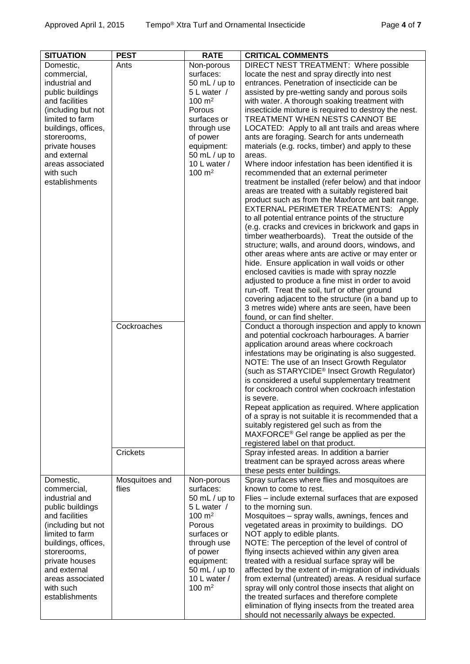| <b>SITUATION</b>              | <b>PEST</b>     | <b>RATE</b>                       | <b>CRITICAL COMMENTS</b>                                                                       |
|-------------------------------|-----------------|-----------------------------------|------------------------------------------------------------------------------------------------|
| Domestic,                     | Ants            | Non-porous                        | DIRECT NEST TREATMENT: Where possible                                                          |
| commercial,                   |                 | surfaces:                         | locate the nest and spray directly into nest                                                   |
| industrial and                |                 | 50 $mL / up$ to                   | entrances. Penetration of insecticide can be                                                   |
| public buildings              |                 | 5 L water /                       | assisted by pre-wetting sandy and porous soils                                                 |
| and facilities                |                 | $100 \; \text{m}^2$               | with water. A thorough soaking treatment with                                                  |
| (including but not            |                 | Porous                            | insecticide mixture is required to destroy the nest.                                           |
| limited to farm               |                 | surfaces or                       | TREATMENT WHEN NESTS CANNOT BE                                                                 |
| buildings, offices,           |                 | through use                       | LOCATED: Apply to all ant trails and areas where                                               |
| storerooms,                   |                 | of power                          | ants are foraging. Search for ants underneath                                                  |
| private houses                |                 | equipment:                        | materials (e.g. rocks, timber) and apply to these                                              |
| and external                  |                 | 50 $mL / up$ to                   | areas.                                                                                         |
| areas associated<br>with such |                 | 10 L water /<br>$100 \text{ m}^2$ | Where indoor infestation has been identified it is                                             |
| establishments                |                 |                                   | recommended that an external perimeter<br>treatment be installed (refer below) and that indoor |
|                               |                 |                                   | areas are treated with a suitably registered bait                                              |
|                               |                 |                                   | product such as from the Maxforce ant bait range.                                              |
|                               |                 |                                   | EXTERNAL PERIMETER TREATMENTS: Apply                                                           |
|                               |                 |                                   | to all potential entrance points of the structure                                              |
|                               |                 |                                   | (e.g. cracks and crevices in brickwork and gaps in                                             |
|                               |                 |                                   | timber weatherboards). Treat the outside of the                                                |
|                               |                 |                                   | structure; walls, and around doors, windows, and                                               |
|                               |                 |                                   | other areas where ants are active or may enter or                                              |
|                               |                 |                                   | hide. Ensure application in wall voids or other                                                |
|                               |                 |                                   | enclosed cavities is made with spray nozzle                                                    |
|                               |                 |                                   | adjusted to produce a fine mist in order to avoid                                              |
|                               |                 |                                   | run-off. Treat the soil, turf or other ground                                                  |
|                               |                 |                                   | covering adjacent to the structure (in a band up to                                            |
|                               |                 |                                   | 3 metres wide) where ants are seen, have been                                                  |
|                               |                 |                                   | found, or can find shelter.                                                                    |
|                               | Cockroaches     |                                   | Conduct a thorough inspection and apply to known                                               |
|                               |                 |                                   | and potential cockroach harbourages. A barrier                                                 |
|                               |                 |                                   | application around areas where cockroach<br>infestations may be originating is also suggested. |
|                               |                 |                                   | NOTE: The use of an Insect Growth Regulator                                                    |
|                               |                 |                                   | (such as STARYCIDE <sup>®</sup> Insect Growth Regulator)                                       |
|                               |                 |                                   | is considered a useful supplementary treatment                                                 |
|                               |                 |                                   | for cockroach control when cockroach infestation                                               |
|                               |                 |                                   | is severe.                                                                                     |
|                               |                 |                                   | Repeat application as required. Where application                                              |
|                               |                 |                                   | of a spray is not suitable it is recommended that a                                            |
|                               |                 |                                   | suitably registered gel such as from the                                                       |
|                               |                 |                                   | MAXFORCE® Gel range be applied as per the                                                      |
|                               |                 |                                   | registered label on that product.                                                              |
|                               | <b>Crickets</b> |                                   | Spray infested areas. In addition a barrier                                                    |
|                               |                 |                                   | treatment can be sprayed across areas where                                                    |
|                               |                 |                                   | these pests enter buildings.                                                                   |
| Domestic,                     | Mosquitoes and  | Non-porous<br>surfaces:           | Spray surfaces where flies and mosquitoes are                                                  |
| commercial,<br>industrial and | flies           |                                   | known to come to rest.                                                                         |
| public buildings              |                 | 50 mL / up to<br>5 L water /      | Flies - include external surfaces that are exposed<br>to the morning sun.                      |
| and facilities                |                 | $100 \text{ m}^2$                 | Mosquitoes - spray walls, awnings, fences and                                                  |
| (including but not            |                 | Porous                            | vegetated areas in proximity to buildings. DO                                                  |
| limited to farm               |                 | surfaces or                       | NOT apply to edible plants.                                                                    |
| buildings, offices,           |                 | through use                       | NOTE: The perception of the level of control of                                                |
| storerooms,                   |                 | of power                          | flying insects achieved within any given area                                                  |
| private houses                |                 | equipment:                        | treated with a residual surface spray will be                                                  |
| and external                  |                 | 50 $mL / up$ to                   | affected by the extent of in-migration of individuals                                          |
| areas associated              |                 | 10 L water /                      | from external (untreated) areas. A residual surface                                            |
| with such                     |                 | $100 \; \text{m}^2$               | spray will only control those insects that alight on                                           |
| establishments                |                 |                                   | the treated surfaces and therefore complete                                                    |
|                               |                 |                                   | elimination of flying insects from the treated area                                            |
|                               |                 |                                   | should not necessarily always be expected.                                                     |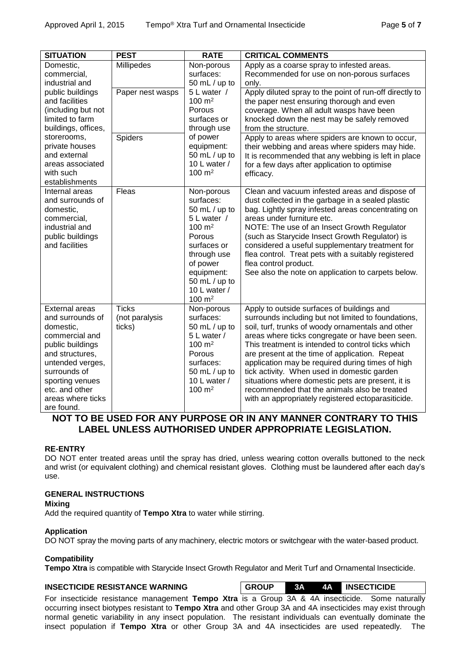| <b>SITUATION</b>                                                                                                                                                                                                            | <b>PEST</b>                              | <b>RATE</b>                                                                                                                                                                                            | <b>CRITICAL COMMENTS</b>                                                                                                                                                                                                                                                                                                                                                                                                                                                                                                                                                       |
|-----------------------------------------------------------------------------------------------------------------------------------------------------------------------------------------------------------------------------|------------------------------------------|--------------------------------------------------------------------------------------------------------------------------------------------------------------------------------------------------------|--------------------------------------------------------------------------------------------------------------------------------------------------------------------------------------------------------------------------------------------------------------------------------------------------------------------------------------------------------------------------------------------------------------------------------------------------------------------------------------------------------------------------------------------------------------------------------|
| Domestic,<br>commercial,<br>industrial and                                                                                                                                                                                  | Millipedes                               | Non-porous<br>surfaces:<br>50 mL / up to                                                                                                                                                               | Apply as a coarse spray to infested areas.<br>Recommended for use on non-porous surfaces<br>only.                                                                                                                                                                                                                                                                                                                                                                                                                                                                              |
| public buildings<br>and facilities<br>(including but not<br>limited to farm<br>buildings, offices,<br>storerooms,<br>private houses<br>and external<br>areas associated<br>with such<br>establishments                      | Paper nest wasps                         | 5 L water /<br>$100 \text{ m}^2$<br>Porous<br>surfaces or<br>through use<br>of power<br>equipment:<br>50 mL / up to<br>10 L water /<br>$100 \; \text{m}^2$                                             | Apply diluted spray to the point of run-off directly to<br>the paper nest ensuring thorough and even<br>coverage. When all adult wasps have been<br>knocked down the nest may be safely removed<br>from the structure.                                                                                                                                                                                                                                                                                                                                                         |
|                                                                                                                                                                                                                             | Spiders                                  |                                                                                                                                                                                                        | Apply to areas where spiders are known to occur,<br>their webbing and areas where spiders may hide.<br>It is recommended that any webbing is left in place<br>for a few days after application to optimise<br>efficacy.                                                                                                                                                                                                                                                                                                                                                        |
| Internal areas<br>and surrounds of<br>domestic,<br>commercial,<br>industrial and<br>public buildings<br>and facilities                                                                                                      | Fleas                                    | Non-porous<br>surfaces:<br>50 mL / up to<br>5 L water /<br>$100 \text{ m}^2$<br>Porous<br>surfaces or<br>through use<br>of power<br>equipment:<br>50 mL / up to<br>10 L water /<br>$100 \; \text{m}^2$ | Clean and vacuum infested areas and dispose of<br>dust collected in the garbage in a sealed plastic<br>bag. Lightly spray infested areas concentrating on<br>areas under furniture etc.<br>NOTE: The use of an Insect Growth Regulator<br>(such as Starycide Insect Growth Regulator) is<br>considered a useful supplementary treatment for<br>flea control. Treat pets with a suitably registered<br>flea control product.<br>See also the note on application to carpets below.                                                                                              |
| <b>External areas</b><br>and surrounds of<br>domestic,<br>commercial and<br>public buildings<br>and structures,<br>untended verges,<br>surrounds of<br>sporting venues<br>etc. and other<br>areas where ticks<br>are found. | <b>Ticks</b><br>(not paralysis<br>ticks) | Non-porous<br>surfaces:<br>50 mL / up to<br>5 L water /<br>$100 \text{ m}^2$<br>Porous<br>surfaces:<br>50 mL / up to<br>10 L water /<br>$100 \; \text{m}^2$                                            | Apply to outside surfaces of buildings and<br>surrounds including but not limited to foundations,<br>soil, turf, trunks of woody ornamentals and other<br>areas where ticks congregate or have been seen.<br>This treatment is intended to control ticks which<br>are present at the time of application. Repeat<br>application may be required during times of high<br>tick activity. When used in domestic garden<br>situations where domestic pets are present, it is<br>recommended that the animals also be treated<br>with an appropriately registered ectoparasiticide. |

## **NOT TO BE USED FOR ANY PURPOSE OR IN ANY MANNER CONTRARY TO THIS LABEL UNLESS AUTHORISED UNDER APPROPRIATE LEGISLATION.**

#### **RE-ENTRY**

DO NOT enter treated areas until the spray has dried, unless wearing cotton overalls buttoned to the neck and wrist (or equivalent clothing) and chemical resistant gloves. Clothing must be laundered after each day's use.

#### **GENERAL INSTRUCTIONS**

#### **Mixing**

Add the required quantity of **Tempo Xtra** to water while stirring.

#### **Application**

DO NOT spray the moving parts of any machinery, electric motors or switchgear with the water-based product.

#### **Compatibility**

**Tempo Xtra** is compatible with Starycide Insect Growth Regulator and Merit Turf and Ornamental Insecticide.

### **INSECTICIDE RESISTANCE WARNING GROUP 3A 4A INSECTICIDE**

For insecticide resistance management **Tempo Xtra** is a Group 3A & 4A insecticide. Some naturally occurring insect biotypes resistant to **Tempo Xtra** and other Group 3A and 4A insecticides may exist through normal genetic variability in any insect population. The resistant individuals can eventually dominate the insect population if **Tempo Xtra** or other Group 3A and 4A insecticides are used repeatedly. The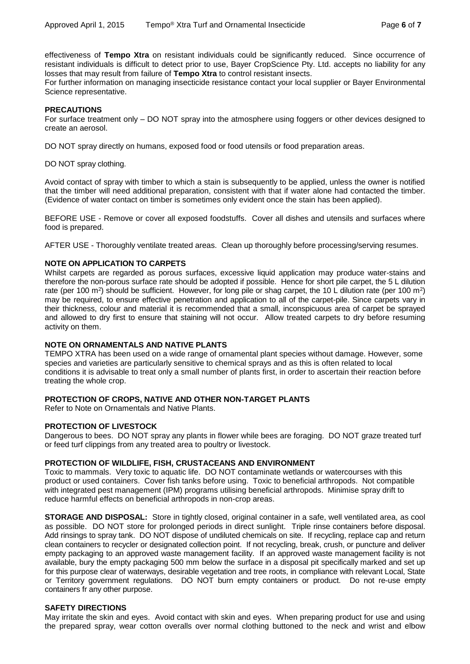effectiveness of **Tempo Xtra** on resistant individuals could be significantly reduced. Since occurrence of resistant individuals is difficult to detect prior to use, Bayer CropScience Pty. Ltd. accepts no liability for any losses that may result from failure of **Tempo Xtra** to control resistant insects.

For further information on managing insecticide resistance contact your local supplier or Bayer Environmental Science representative.

#### **PRECAUTIONS**

For surface treatment only – DO NOT spray into the atmosphere using foggers or other devices designed to create an aerosol.

DO NOT spray directly on humans, exposed food or food utensils or food preparation areas.

DO NOT spray clothing.

Avoid contact of spray with timber to which a stain is subsequently to be applied, unless the owner is notified that the timber will need additional preparation, consistent with that if water alone had contacted the timber. (Evidence of water contact on timber is sometimes only evident once the stain has been applied).

BEFORE USE - Remove or cover all exposed foodstuffs. Cover all dishes and utensils and surfaces where food is prepared.

AFTER USE - Thoroughly ventilate treated areas. Clean up thoroughly before processing/serving resumes.

#### **NOTE ON APPLICATION TO CARPETS**

Whilst carpets are regarded as porous surfaces, excessive liquid application may produce water-stains and therefore the non-porous surface rate should be adopted if possible. Hence for short pile carpet, the 5 L dilution rate (per 100 m<sup>2</sup>) should be sufficient. However, for long pile or shag carpet, the 10 L dilution rate (per 100 m<sup>2</sup>) may be required, to ensure effective penetration and application to all of the carpet-pile. Since carpets vary in their thickness, colour and material it is recommended that a small, inconspicuous area of carpet be sprayed and allowed to dry first to ensure that staining will not occur. Allow treated carpets to dry before resuming activity on them.

#### **NOTE ON ORNAMENTALS AND NATIVE PLANTS**

TEMPO XTRA has been used on a wide range of ornamental plant species without damage. However, some species and varieties are particularly sensitive to chemical sprays and as this is often related to local conditions it is advisable to treat only a small number of plants first, in order to ascertain their reaction before treating the whole crop.

#### **PROTECTION OF CROPS, NATIVE AND OTHER NON-TARGET PLANTS**

Refer to Note on Ornamentals and Native Plants.

#### **PROTECTION OF LIVESTOCK**

Dangerous to bees. DO NOT spray any plants in flower while bees are foraging. DO NOT graze treated turf or feed turf clippings from any treated area to poultry or livestock.

#### **PROTECTION OF WILDLIFE, FISH, CRUSTACEANS AND ENVIRONMENT**

Toxic to mammals. Very toxic to aquatic life. DO NOT contaminate wetlands or watercourses with this product or used containers. Cover fish tanks before using. Toxic to beneficial arthropods. Not compatible with integrated pest management (IPM) programs utilising beneficial arthropods. Minimise spray drift to reduce harmful effects on beneficial arthropods in non-crop areas.

**STORAGE AND DISPOSAL:** Store in tightly closed, original container in a safe, well ventilated area, as cool as possible. DO NOT store for prolonged periods in direct sunlight. Triple rinse containers before disposal. Add rinsings to spray tank. DO NOT dispose of undiluted chemicals on site. If recycling, replace cap and return clean containers to recycler or designated collection point. If not recycling, break, crush, or puncture and deliver empty packaging to an approved waste management facility. If an approved waste management facility is not available, bury the empty packaging 500 mm below the surface in a disposal pit specifically marked and set up for this purpose clear of waterways, desirable vegetation and tree roots, in compliance with relevant Local, State or Territory government regulations. DO NOT burn empty containers or product. Do not re-use empty containers fr any other purpose.

#### **SAFETY DIRECTIONS**

May irritate the skin and eyes. Avoid contact with skin and eyes. When preparing product for use and using the prepared spray, wear cotton overalls over normal clothing buttoned to the neck and wrist and elbow